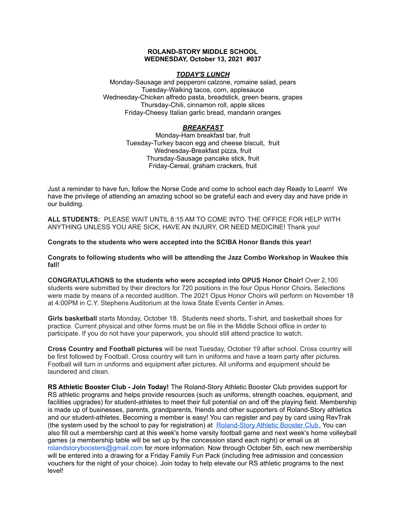### **ROLAND-STORY MIDDLE SCHOOL WEDNESDAY, October 13, 2021 #037**

## *TODAY'S LUNCH*

Monday-Sausage and pepperoni calzone, romaine salad, pears Tuesday-Walking tacos, corn, applesauce Wednesday-Chicken alfredo pasta, breadstick, green beans, grapes Thursday-Chili, cinnamon roll, apple slices Friday-Cheesy Italian garlic bread, mandarin oranges

# *BREAKFAST*

Monday-Ham breakfast bar, fruit Tuesday-Turkey bacon egg and cheese biscuit, fruit Wednesday-Breakfast pizza, fruit Thursday-Sausage pancake stick, fruit Friday-Cereal, graham crackers, fruit

Just a reminder to have fun, follow the Norse Code and come to school each day Ready to Learn! We have the privilege of attending an amazing school so be grateful each and every day and have pride in our building.

**ALL STUDENTS:** PLEASE WAIT UNTIL 8:15 AM TO COME INTO THE OFFICE FOR HELP WITH ANYTHING UNLESS YOU ARE SICK, HAVE AN INJURY, OR NEED MEDICINE! Thank you!

**Congrats to the students who were accepted into the SCIBA Honor Bands this year!**

**Congrats to following students who will be attending the Jazz Combo Workshop in Waukee this fall!**

**CONGRATULATIONS to the students who were accepted into OPUS Honor Choir!** Over 2,100 students were submitted by their directors for 720 positions in the four Opus Honor Choirs. Selections were made by means of a recorded audition. The 2021 Opus Honor Choirs will perform on November 18 at 4:00PM in C.Y. Stephens Auditorium at the Iowa State Events Center in Ames.

**Girls basketball** starts Monday, October 18. Students need shorts, T-shirt, and basketball shoes for practice. Current physical and other forms must be on file in the Middle School office in order to participate. If you do not have your paperwork, you should still attend practice to watch.

**Cross Country and Football pictures** will be next Tuesday, October 19 after school. Cross country will be first followed by Football. Cross country will turn in uniforms and have a team party after pictures. Football will turn in uniforms and equipment after pictures. All uniforms and equipment should be laundered and clean.

**RS Athletic Booster Club - Join Today!** The Roland-Story Athletic Booster Club provides support for RS athletic programs and helps provide resources (such as uniforms, strength coaches, equipment, and facilities upgrades) for student-athletes to meet their full potential on and off the playing field. Membership is made up of businesses, parents, grandparents, friends and other supporters of Roland-Story athletics and our student-athletes. Becoming a member is easy! You can register and pay by card using RevTrak (the system used by the school to pay for registration) at [Roland-Story](https://rolandstory.revtrak.net/Roland-Story-Athletic-Booster-Club/) Athletic Booster Club. You can also fill out a membership card at this week's home varsity football game and next week's home volleyball games (a membership table will be set up by the concession stand each night) or email us at rolandstoryboosters@gmail.com for more information. Now through October 5th, each new membership will be entered into a drawing for a Friday Family Fun Pack (including free admission and concession vouchers for the night of your choice). Join today to help elevate our RS athletic programs to the next level!